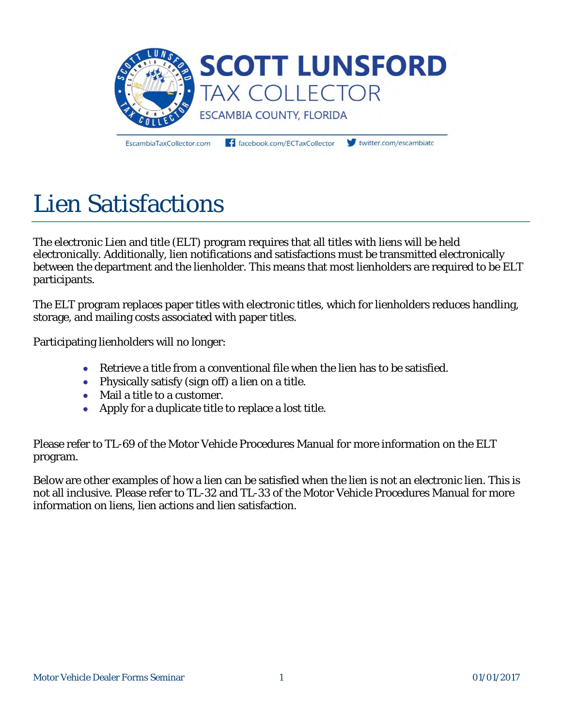

EscambiaTaxCollector.com

facebook.com/ECTaxCollector

twitter.com/escambiato

## Lien Satisfactions

The electronic Lien and title (ELT) program requires that all titles with liens will be held electronically. Additionally, lien notifications and satisfactions must be transmitted electronically between the department and the lienholder. This means that most lienholders are required to be ELT participants.

The ELT program replaces paper titles with electronic titles, which for lienholders reduces handling, storage, and mailing costs associated with paper titles.

Participating lienholders will no longer:

- Retrieve a title from a conventional file when the lien has to be satisfied.
- Physically satisfy (sign off) a lien on a title.
- Mail a title to a customer.
- Apply for a duplicate title to replace a lost title.

Please refer to TL-69 of the Motor Vehicle Procedures Manual for more information on the ELT program.

Below are other examples of how a lien can be satisfied when the lien is not an electronic lien. This is not all inclusive. Please refer to TL-32 and TL-33 of the Motor Vehicle Procedures Manual for more information on liens, lien actions and lien satisfaction.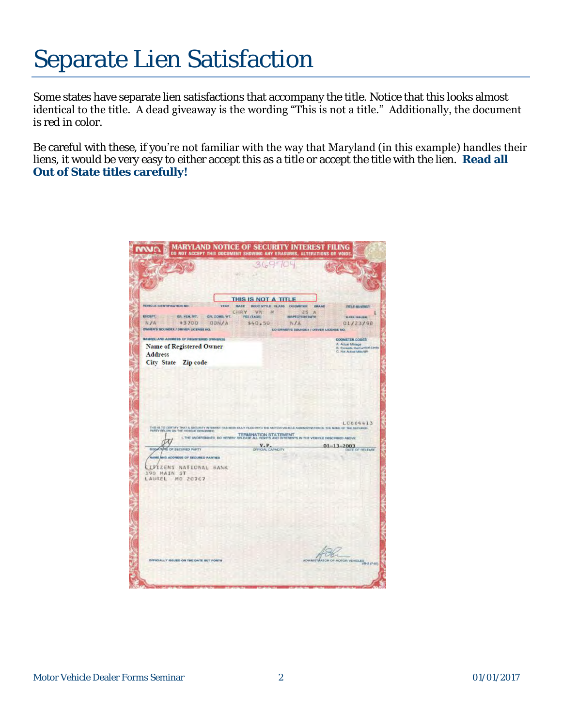## Separate Lien Satisfaction

Some states have separate lien satisfactions that accompany the title. Notice that this looks almost identical to the title. A dead giveaway is the wording "This is not a title." Additionally, the document is red in color.

Be careful with these, if you're not familiar with the way that Maryland (in this example) handles their liens, it would be very easy to either accept this as a title or accept the title with the lien. **Read all Out of State titles carefully!** 

|                                            | 369700                                                                                                                         |                                                   |
|--------------------------------------------|--------------------------------------------------------------------------------------------------------------------------------|---------------------------------------------------|
|                                            |                                                                                                                                |                                                   |
|                                            |                                                                                                                                |                                                   |
|                                            | THIS IS NOT A TITLE                                                                                                            |                                                   |
| VEHICLE IDENTIFICATION NO<br>YEAR          | <b>BOOY STYLE CLASS OCOMETER</b><br><b>MAKE</b><br><b>ERAND</b>                                                                | TITE II WANDWOR                                   |
| EXCEPT.<br>GR. VEH. WT.<br>GR. COMB. WT.   | CHRY<br>V <sub>N</sub><br>25<br>- A<br>FEE (TAGS)<br><b>INSPECTION DATE</b>                                                    |                                                   |
| N/A<br>$+3700 =$<br>DON/A                  | 140.50<br>NA                                                                                                                   | <b>WARN INAURE</b><br>01/23/98                    |
| OWNER'S SOUNDER / DRIVER LICENSE NO.       | CO-OWNER'S GOUNDEX / ORIVER LICENSE NO.                                                                                        |                                                   |
| MAMO(S) AND ADDRESS OF REGISTERED OWNER(S) |                                                                                                                                | <b>ODDMETER CODES</b>                             |
| Name of Registered Owner                   |                                                                                                                                | A: Actual Mileage<br>B. Exceeds Macharlical Linds |
| Address                                    |                                                                                                                                | C. Not Actual Mitologo                            |
| City State Zip code                        |                                                                                                                                |                                                   |
|                                            |                                                                                                                                |                                                   |
|                                            |                                                                                                                                |                                                   |
|                                            |                                                                                                                                |                                                   |
|                                            |                                                                                                                                |                                                   |
|                                            |                                                                                                                                |                                                   |
|                                            |                                                                                                                                |                                                   |
|                                            |                                                                                                                                |                                                   |
|                                            |                                                                                                                                |                                                   |
|                                            |                                                                                                                                | L0684413                                          |
| PARTY BELOW ON THE VEHICLE DESCRIBED.      | THE IS TO CERTEY THAT A SECURITY INTEREST HAS BEEN DULY FILED WITH THE MOTOR VIDICLE ADMINISTRATION IN THE MANE OF THE SECURED |                                                   |
|                                            | TERMINATION STATEMENT<br>I, THE UNDERSIGNED, DO HEREDY RELEASE ALL RIGHTS AND INTERESTS IN THE VEHICLE DESCRIBED ABOVE         |                                                   |
| SISMITURE OF SECURED PARTY                 | <b>V.P.</b><br>GITICIAL CAPACITY                                                                                               | $01 - 13 - 2003$<br>DATE OF RELEASE               |
| NAME AND ADDRESS OF SECURED PARTIES        |                                                                                                                                |                                                   |
| <b>CIFIZENS NATIONAL BANK</b>              |                                                                                                                                |                                                   |
| 190 MAIN ST                                |                                                                                                                                |                                                   |
| LAUREL MD 20707                            |                                                                                                                                |                                                   |
|                                            |                                                                                                                                |                                                   |
|                                            |                                                                                                                                |                                                   |
|                                            |                                                                                                                                |                                                   |
|                                            |                                                                                                                                |                                                   |
|                                            |                                                                                                                                |                                                   |
|                                            |                                                                                                                                |                                                   |
|                                            |                                                                                                                                |                                                   |
|                                            |                                                                                                                                |                                                   |
|                                            |                                                                                                                                |                                                   |
| OFFICIALLY ISSUED ON THE DATE SET FORTH    |                                                                                                                                | ADMINISTRATOR OF MOTOR VEHICLES WHO (7-97)        |